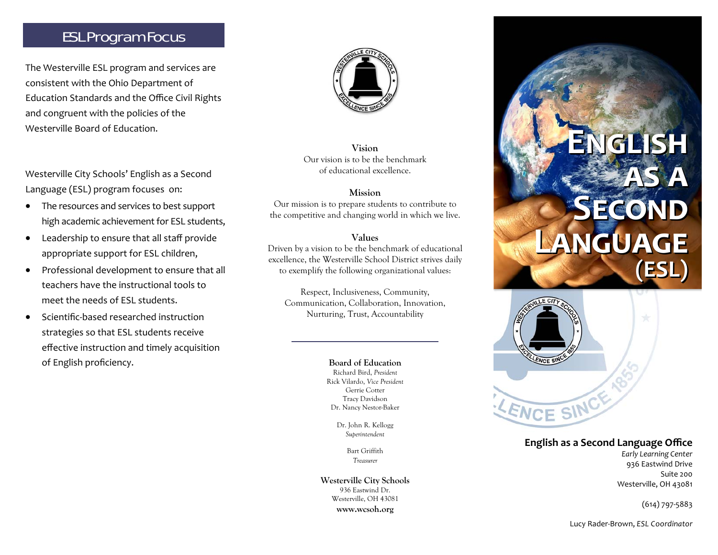# ESL Program Focus

The Westerville ESL program and services are consistent with the Ohio Department of Education Standards and the Office Civil Rights and congruent with the policies of the Westerville Board of Education.

Westerville City Schools' English as a Second Language (ESL) program focuses on:

- $\bullet$  The resources and services to best support high academic achievement for ESL students,
- $\bullet$  Leadership to ensure that all staff provide appropriate support for ESL children,
- $\bullet$  Professional development to ensure that all teachers have the instructional tools to meet the needs of ESL students.
- $\bullet$  Scientific‐based researched instruction strategies so that ESL students receive <sup>e</sup>ffective instruction and timely acquisition of English proficiency. **Board of Education**



**Vision**Our vision is to be the benchmark of educational excellence.

#### **Mission**

Our mission is to prepare students to contribute to the competitive and changing world in which we live.

#### **Values**

Driven by a vision to be the benchmark of educational excellence, the Westerville School District strives daily to exemplify the following organizational values:

Respect, Inclusiveness, Community, Communication, Collaboration, Innovation, Nurturing, Trust, Accountability

> Richard Bird, *President*  Rick Vilardo, *Vice President*  Gerrie Cotter Tracy Davidson Dr. Nancy Nestor-Baker

> > Dr. John R. Kellogg *Superintendent*

> > > Bart Griffith *Treasurer*

**Westerville City Schools**  936 Eastwind Dr. Westerville, OH 43081 **www.wcsoh.org**

# **ENGLISHENGLISHENGLISHAS A SECOND**<br>LANGUAGE **LANGUAGE (ESL) AS A (ESL) AS A LANGUAGE (ESL)**



### **English as <sup>a</sup> Second Language <sup>O</sup>ffice**

*Early Learning Center*  936 Eastwind Drive Suite 200 Westerville, OH 43081

(614) 797‐5883